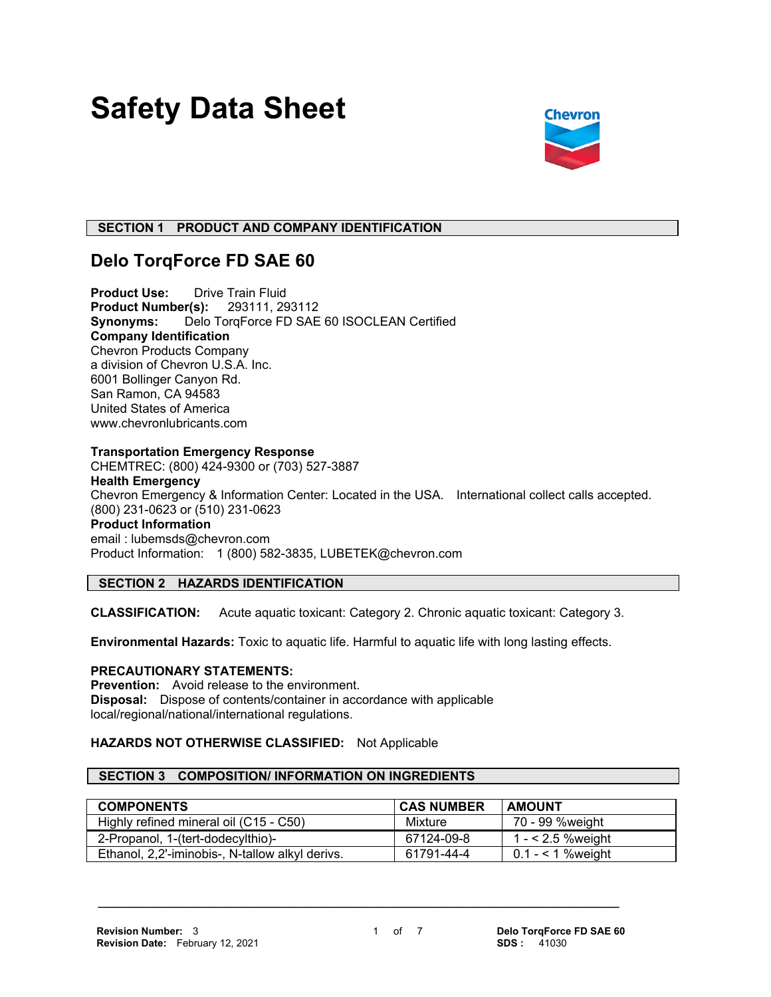# **Safety Data Sheet**



# **SECTION 1 PRODUCT AND COMPANY IDENTIFICATION**

# **Delo TorqForce FD SAE 60**

**Product Use:** Drive Train Fluid **Product Number(s):** 293111, 293112 **Synonyms:** Delo TorqForce FD SAE 60 ISOCLEAN Certified **Company Identification** Chevron Products Company a division of Chevron U.S.A. Inc. 6001 Bollinger Canyon Rd. San Ramon, CA 94583 United States of America www.chevronlubricants.com

#### **Transportation Emergency Response**

CHEMTREC: (800) 424-9300 or (703) 527-3887 **Health Emergency** Chevron Emergency & Information Center: Located in the USA. International collect calls accepted. (800) 231-0623 or (510) 231-0623 **Product Information** email : lubemsds@chevron.com Product Information: 1 (800) 582-3835, LUBETEK@chevron.com

# **SECTION 2 HAZARDS IDENTIFICATION**

**CLASSIFICATION:** Acute aquatic toxicant: Category 2. Chronic aquatic toxicant: Category 3.

**Environmental Hazards:** Toxic to aquatic life. Harmful to aquatic life with long lasting effects.

#### **PRECAUTIONARY STATEMENTS:**

**Prevention:** Avoid release to the environment. **Disposal:** Dispose of contents/container in accordance with applicable local/regional/national/international regulations.

### **HAZARDS NOT OTHERWISE CLASSIFIED:** Not Applicable

#### **SECTION 3 COMPOSITION/ INFORMATION ON INGREDIENTS**

| <b>COMPONENTS</b>                               | <b>CAS NUMBER</b> | <b>AMOUNT</b>        |
|-------------------------------------------------|-------------------|----------------------|
| Highly refined mineral oil (C15 - C50)          | Mixture           | 70 - 99 %weight      |
| 2-Propanol, 1-(tert-dodecylthio)-               | 67124-09-8        | 1 - $<$ 2.5 % weight |
| Ethanol, 2,2'-iminobis-, N-tallow alkyl derivs. | 61791-44-4        | $0.1 - 1$ % weight   |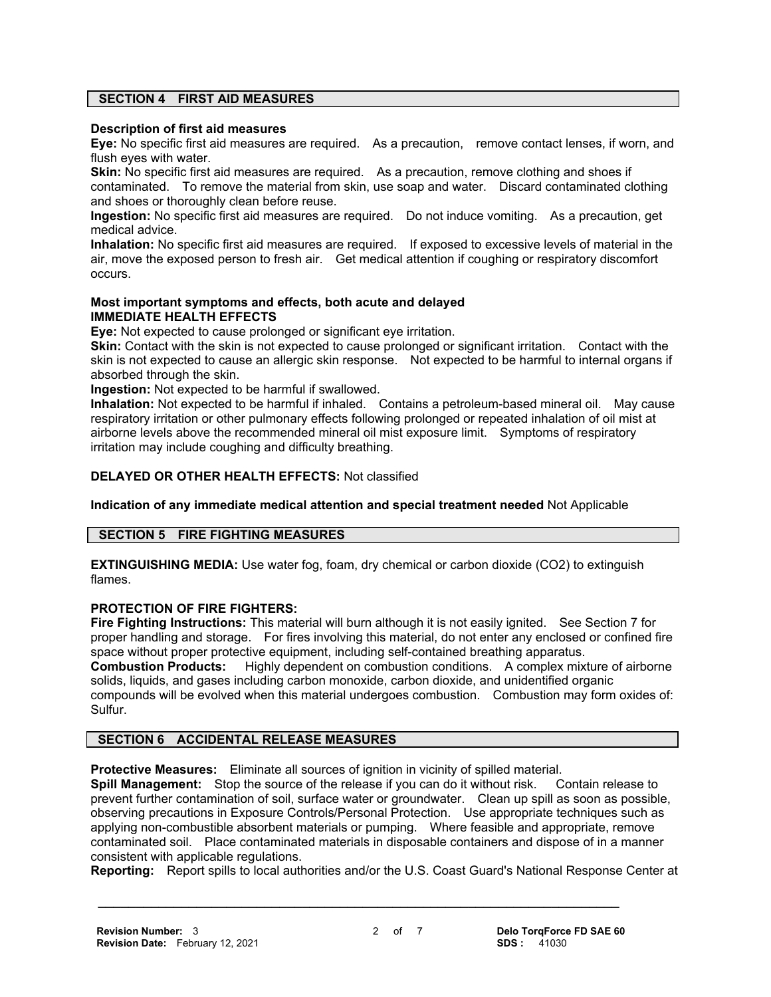# **SECTION 4 FIRST AID MEASURES**

#### **Description of first aid measures**

**Eye:** No specific first aid measures are required. As a precaution, remove contact lenses, if worn, and flush eyes with water.

**Skin:** No specific first aid measures are required. As a precaution, remove clothing and shoes if contaminated. To remove the material from skin, use soap and water. Discard contaminated clothing and shoes or thoroughly clean before reuse.

**Ingestion:** No specific first aid measures are required. Do not induce vomiting. As a precaution, get medical advice.

**Inhalation:** No specific first aid measures are required. If exposed to excessive levels of material in the air, move the exposed person to fresh air. Get medical attention if coughing or respiratory discomfort occurs.

#### **Most important symptoms and effects, both acute and delayed IMMEDIATE HEALTH EFFECTS**

**Eye:** Not expected to cause prolonged or significant eye irritation.

**Skin:** Contact with the skin is not expected to cause prolonged or significant irritation. Contact with the skin is not expected to cause an allergic skin response. Not expected to be harmful to internal organs if absorbed through the skin.

**Ingestion:** Not expected to be harmful if swallowed.

**Inhalation:** Not expected to be harmful if inhaled. Contains a petroleum-based mineral oil. May cause respiratory irritation or other pulmonary effects following prolonged or repeated inhalation of oil mist at airborne levels above the recommended mineral oil mist exposure limit. Symptoms of respiratory irritation may include coughing and difficulty breathing.

### **DELAYED OR OTHER HEALTH EFFECTS:** Not classified

**Indication of any immediate medical attention and special treatment needed** Not Applicable

### **SECTION 5 FIRE FIGHTING MEASURES**

**EXTINGUISHING MEDIA:** Use water fog, foam, dry chemical or carbon dioxide (CO2) to extinguish flames.

#### **PROTECTION OF FIRE FIGHTERS:**

**Fire Fighting Instructions:** This material will burn although it is not easily ignited. See Section 7 for proper handling and storage. For fires involving this material, do not enter any enclosed or confined fire space without proper protective equipment, including self-contained breathing apparatus. **Combustion Products:** Highly dependent on combustion conditions. A complex mixture of airborne solids, liquids, and gases including carbon monoxide, carbon dioxide, and unidentified organic compounds will be evolved when this material undergoes combustion. Combustion may form oxides of: Sulfur.

### **SECTION 6 ACCIDENTAL RELEASE MEASURES**

**Protective Measures:** Eliminate all sources of ignition in vicinity of spilled material.

**Spill Management:** Stop the source of the release if you can do it without risk. Contain release to prevent further contamination of soil, surface water or groundwater. Clean up spill as soon as possible, observing precautions in Exposure Controls/Personal Protection. Use appropriate techniques such as applying non-combustible absorbent materials or pumping. Where feasible and appropriate, remove contaminated soil. Place contaminated materials in disposable containers and dispose of in a manner consistent with applicable regulations.

**Reporting:** Report spills to local authorities and/or the U.S. Coast Guard's National Response Center at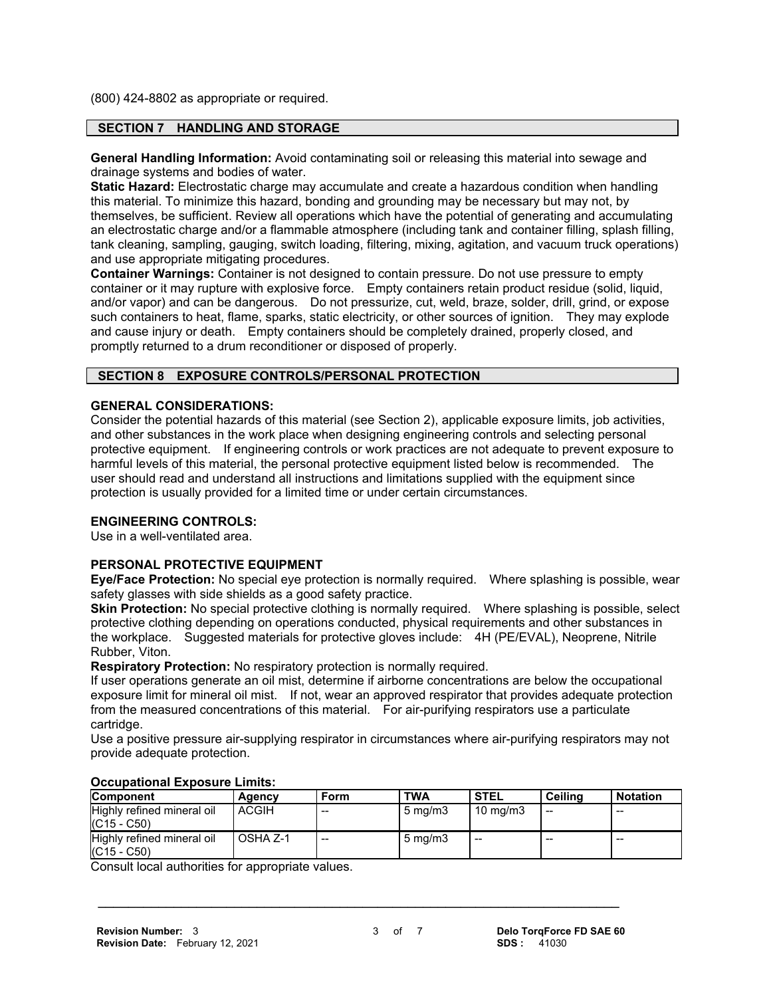(800) 424-8802 as appropriate or required.

# **SECTION 7 HANDLING AND STORAGE**

**General Handling Information:** Avoid contaminating soil or releasing this material into sewage and drainage systems and bodies of water.

**Static Hazard:** Electrostatic charge may accumulate and create a hazardous condition when handling this material. To minimize this hazard, bonding and grounding may be necessary but may not, by themselves, be sufficient. Review all operations which have the potential of generating and accumulating an electrostatic charge and/or a flammable atmosphere (including tank and container filling, splash filling, tank cleaning, sampling, gauging, switch loading, filtering, mixing, agitation, and vacuum truck operations) and use appropriate mitigating procedures.

**Container Warnings:** Container is not designed to contain pressure. Do not use pressure to empty container or it may rupture with explosive force. Empty containers retain product residue (solid, liquid, and/or vapor) and can be dangerous. Do not pressurize, cut, weld, braze, solder, drill, grind, or expose such containers to heat, flame, sparks, static electricity, or other sources of ignition. They may explode and cause injury or death. Empty containers should be completely drained, properly closed, and promptly returned to a drum reconditioner or disposed of properly.

#### **SECTION 8 EXPOSURE CONTROLS/PERSONAL PROTECTION**

#### **GENERAL CONSIDERATIONS:**

Consider the potential hazards of this material (see Section 2), applicable exposure limits, job activities, and other substances in the work place when designing engineering controls and selecting personal protective equipment. If engineering controls or work practices are not adequate to prevent exposure to harmful levels of this material, the personal protective equipment listed below is recommended. The user should read and understand all instructions and limitations supplied with the equipment since protection is usually provided for a limited time or under certain circumstances.

#### **ENGINEERING CONTROLS:**

Use in a well-ventilated area.

# **PERSONAL PROTECTIVE EQUIPMENT**

**Eye/Face Protection:** No special eye protection is normally required. Where splashing is possible, wear safety glasses with side shields as a good safety practice.

**Skin Protection:** No special protective clothing is normally required. Where splashing is possible, select protective clothing depending on operations conducted, physical requirements and other substances in the workplace. Suggested materials for protective gloves include: 4H (PE/EVAL), Neoprene, Nitrile Rubber, Viton.

**Respiratory Protection:** No respiratory protection is normally required.

If user operations generate an oil mist, determine if airborne concentrations are below the occupational exposure limit for mineral oil mist. If not, wear an approved respirator that provides adequate protection from the measured concentrations of this material. For air-purifying respirators use a particulate cartridge.

Use a positive pressure air-supplying respirator in circumstances where air-purifying respirators may not provide adequate protection.

| <b>Component</b>                            | Agency       | Form  | <b>TWA</b>       | <b>STEL</b>         | <b>Ceiling</b> | <b>Notation</b> |
|---------------------------------------------|--------------|-------|------------------|---------------------|----------------|-----------------|
| Highly refined mineral oil<br>$(C15 - C50)$ | <b>ACGIH</b> | $- -$ | $5 \text{ mg/m}$ | $10 \text{ ma/m}$ 3 | --             | $- -$           |
| Highly refined mineral oil<br>$(C15 - C50)$ | OSHA Z-1     | $- -$ | $5 \text{ mg/m}$ | --                  | --             | $- -$           |

 **\_\_\_\_\_\_\_\_\_\_\_\_\_\_\_\_\_\_\_\_\_\_\_\_\_\_\_\_\_\_\_\_\_\_\_\_\_\_\_\_\_\_\_\_\_\_\_\_\_\_\_\_\_\_\_\_\_\_\_\_\_\_\_\_\_\_\_\_\_**

#### **Occupational Exposure Limits:**

Consult local authorities for appropriate values.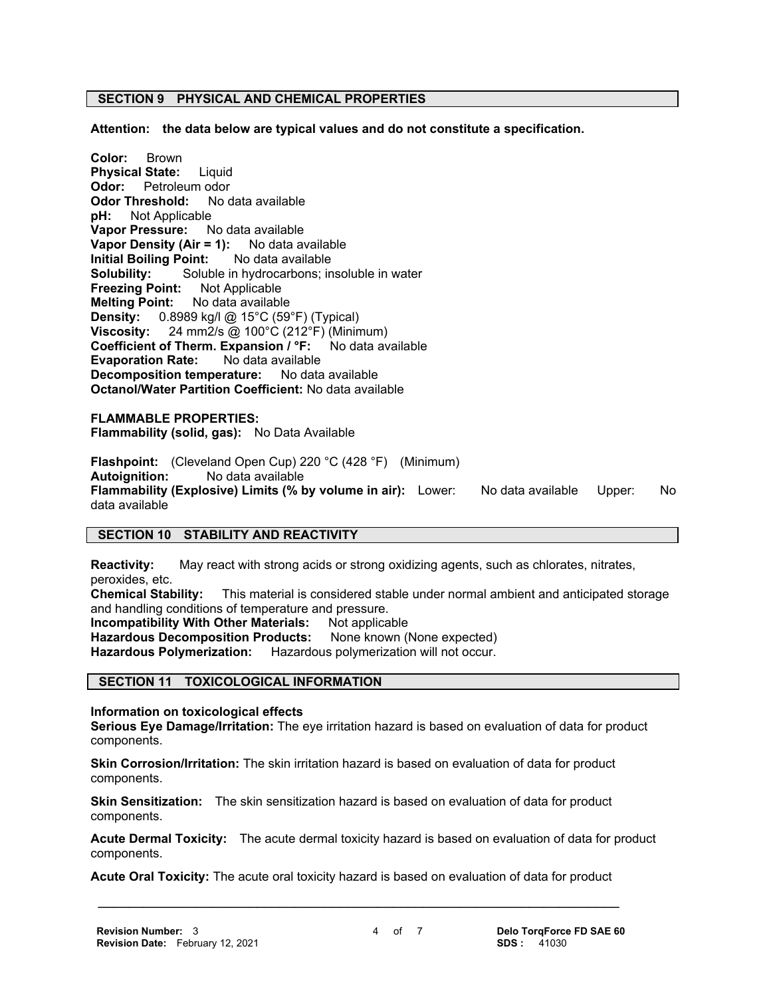#### **SECTION 9 PHYSICAL AND CHEMICAL PROPERTIES**

**Attention: the data below are typical values and do not constitute a specification.**

**Color:** Brown **Physical State:** Liquid **Odor:** Petroleum odor **Odor Threshold:** No data available **pH:** Not Applicable **Vapor Pressure:** No data available **Vapor Density (Air = 1):** No data available **Initial Boiling Point:** No data available **Solubility:** Soluble in hydrocarbons; insoluble in water **Freezing Point:** Not Applicable **Melting Point:** No data available **Density:** 0.8989 kg/l @ 15°C (59°F) (Typical) **Viscosity:** 24 mm2/s @ 100°C (212°F) (Minimum) **Coefficient of Therm. Expansion / °F:** No data available **Evaporation Rate:** No data available **Decomposition temperature:** No data available **Octanol/Water Partition Coefficient:** No data available

**FLAMMABLE PROPERTIES: Flammability (solid, gas):** No Data Available

**Flashpoint:** (Cleveland Open Cup) 220 °C (428 °F) (Minimum) **Autoignition:** No data available **Flammability (Explosive) Limits (% by volume in air):** Lower: No data available Upper: No data available

#### **SECTION 10 STABILITY AND REACTIVITY**

**Reactivity:** May react with strong acids or strong oxidizing agents, such as chlorates, nitrates, peroxides, etc.

**Chemical Stability:** This material is considered stable under normal ambient and anticipated storage and handling conditions of temperature and pressure.

**Incompatibility With Other Materials: Not applicable** 

Hazardous Decomposition Products: None known (None expected)

**Hazardous Polymerization:** Hazardous polymerization will not occur.

#### **SECTION 11 TOXICOLOGICAL INFORMATION**

**Information on toxicological effects**

**Serious Eye Damage/Irritation:** The eye irritation hazard is based on evaluation of data for product components.

**Skin Corrosion/Irritation:** The skin irritation hazard is based on evaluation of data for product components.

**Skin Sensitization:** The skin sensitization hazard is based on evaluation of data for product components.

**Acute Dermal Toxicity:** The acute dermal toxicity hazard is based on evaluation of data for product components.

 **\_\_\_\_\_\_\_\_\_\_\_\_\_\_\_\_\_\_\_\_\_\_\_\_\_\_\_\_\_\_\_\_\_\_\_\_\_\_\_\_\_\_\_\_\_\_\_\_\_\_\_\_\_\_\_\_\_\_\_\_\_\_\_\_\_\_\_\_\_ Acute Oral Toxicity:** The acute oral toxicity hazard is based on evaluation of data for product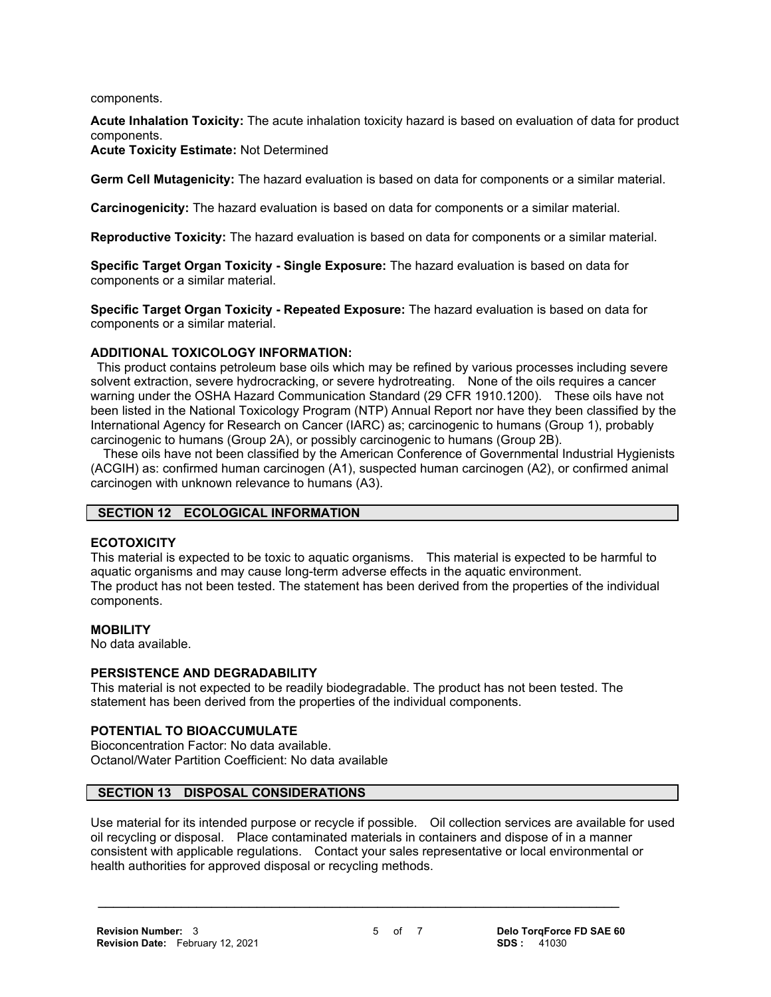components.

**Acute Inhalation Toxicity:** The acute inhalation toxicity hazard is based on evaluation of data for product components.

**Acute Toxicity Estimate:** Not Determined

**Germ Cell Mutagenicity:** The hazard evaluation is based on data for components or a similar material.

**Carcinogenicity:** The hazard evaluation is based on data for components or a similar material.

**Reproductive Toxicity:** The hazard evaluation is based on data for components or a similar material.

**Specific Target Organ Toxicity - Single Exposure:** The hazard evaluation is based on data for components or a similar material.

**Specific Target Organ Toxicity - Repeated Exposure:** The hazard evaluation is based on data for components or a similar material.

### **ADDITIONAL TOXICOLOGY INFORMATION:**

 This product contains petroleum base oils which may be refined by various processes including severe solvent extraction, severe hydrocracking, or severe hydrotreating. None of the oils requires a cancer warning under the OSHA Hazard Communication Standard (29 CFR 1910.1200). These oils have not been listed in the National Toxicology Program (NTP) Annual Report nor have they been classified by the International Agency for Research on Cancer (IARC) as; carcinogenic to humans (Group 1), probably carcinogenic to humans (Group 2A), or possibly carcinogenic to humans (Group 2B).

 These oils have not been classified by the American Conference of Governmental Industrial Hygienists (ACGIH) as: confirmed human carcinogen (A1), suspected human carcinogen (A2), or confirmed animal carcinogen with unknown relevance to humans (A3).

# **SECTION 12 ECOLOGICAL INFORMATION**

# **ECOTOXICITY**

This material is expected to be toxic to aquatic organisms. This material is expected to be harmful to aquatic organisms and may cause long-term adverse effects in the aquatic environment. The product has not been tested. The statement has been derived from the properties of the individual components.

#### **MOBILITY**

No data available.

#### **PERSISTENCE AND DEGRADABILITY**

This material is not expected to be readily biodegradable. The product has not been tested. The statement has been derived from the properties of the individual components.

### **POTENTIAL TO BIOACCUMULATE**

Bioconcentration Factor: No data available. Octanol/Water Partition Coefficient: No data available

# **SECTION 13 DISPOSAL CONSIDERATIONS**

Use material for its intended purpose or recycle if possible. Oil collection services are available for used oil recycling or disposal. Place contaminated materials in containers and dispose of in a manner consistent with applicable regulations. Contact your sales representative or local environmental or health authorities for approved disposal or recycling methods.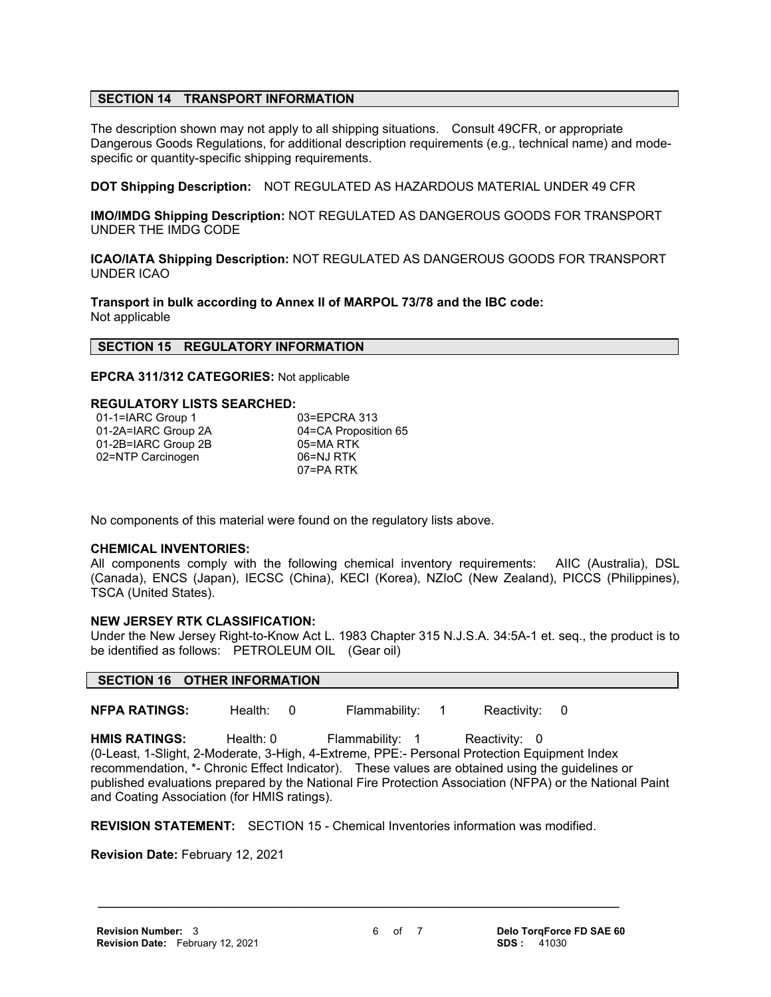# **SECTION 14 TRANSPORT INFORMATION**

The description shown may not apply to all shipping situations. Consult 49CFR, or appropriate Dangerous Goods Regulations, for additional description requirements (e.g., technical name) and modespecific or quantity-specific shipping requirements.

**DOT Shipping Description:** NOT REGULATED AS HAZARDOUS MATERIAL UNDER 49 CFR

**IMO/IMDG Shipping Description:** NOT REGULATED AS DANGEROUS GOODS FOR TRANSPORT UNDER THE IMDG CODE

**ICAO/IATA Shipping Description:** NOT REGULATED AS DANGEROUS GOODS FOR TRANSPORT UNDER ICAO

**Transport in bulk according to Annex II of MARPOL 73/78 and the IBC code:** Not applicable

#### **SECTION 15 REGULATORY INFORMATION**

**EPCRA 311/312 CATEGORIES:** Not applicable

#### **REGULATORY LISTS SEARCHED:**

| 01-1=IARC Group 1   | 03=EPCRA 313         |
|---------------------|----------------------|
| 01-2A=IARC Group 2A | 04=CA Proposition 65 |
| 01-2B=IARC Group 2B | 05=MA RTK            |
| 02=NTP Carcinogen   | 06=NJ RTK            |
|                     | 07=PA RTK            |

No components of this material were found on the regulatory lists above.

#### **CHEMICAL INVENTORIES:**

All components comply with the following chemical inventory requirements: AIIC (Australia), DSL (Canada), ENCS (Japan), IECSC (China), KECI (Korea), NZIoC (New Zealand), PICCS (Philippines), TSCA (United States).

#### **NEW JERSEY RTK CLASSIFICATION:**

Under the New Jersey Right-to-Know Act L. 1983 Chapter 315 N.J.S.A. 34:5A-1 et. seq., the product is to be identified as follows: PETROLEUM OIL (Gear oil)

#### **SECTION 16 OTHER INFORMATION**

**NFPA RATINGS:** Health: 0 Flammability: 1 Reactivity: 0

HMIS RATINGS: Health: 0 Flammability: 1 Reactivity: 0 (0-Least, 1-Slight, 2-Moderate, 3-High, 4-Extreme, PPE:- Personal Protection Equipment Index recommendation, \*- Chronic Effect Indicator). These values are obtained using the guidelines or published evaluations prepared by the National Fire Protection Association (NFPA) or the National Paint and Coating Association (for HMIS ratings).

**REVISION STATEMENT:** SECTION 15 - Chemical Inventories information was modified.

 **\_\_\_\_\_\_\_\_\_\_\_\_\_\_\_\_\_\_\_\_\_\_\_\_\_\_\_\_\_\_\_\_\_\_\_\_\_\_\_\_\_\_\_\_\_\_\_\_\_\_\_\_\_\_\_\_\_\_\_\_\_\_\_\_\_\_\_\_\_**

**Revision Date:** February 12, 2021